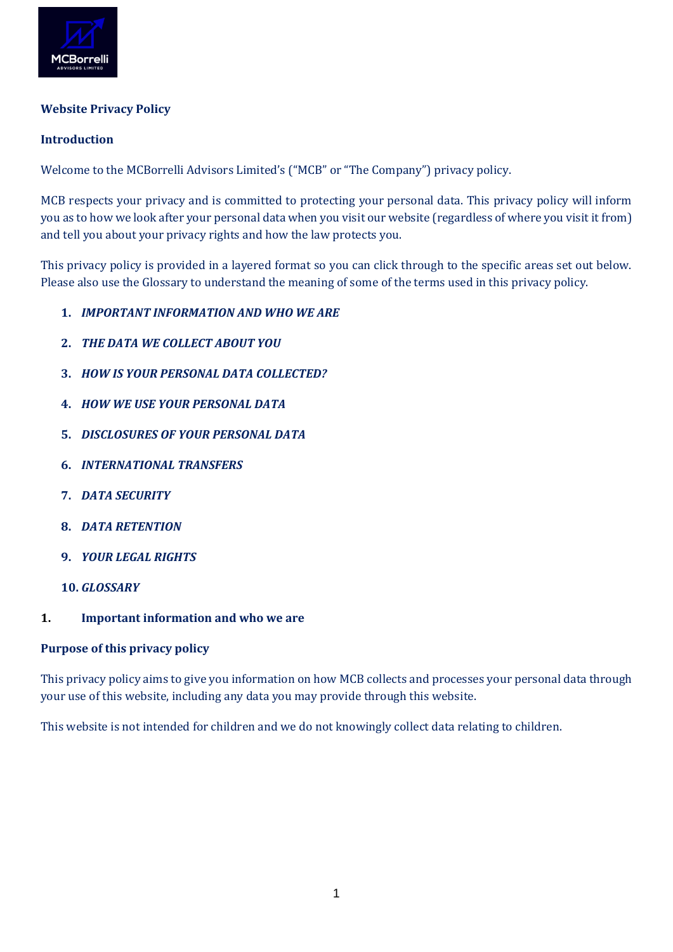

# **Website Privacy Policy**

## **Introduction**

Welcome to the MCBorrelli Advisors Limited's ("MCB" or "The Company") privacy policy.

MCB respects your privacy and is committed to protecting your personal data. This privacy policy will inform you as to how we look after your personal data when you visit our website (regardless of where you visit it from) and tell you about your privacy rights and how the law protects you.

This privacy policy is provided in a layered format so you can click through to the specific areas set out below. Please also use the Glossary to understand the meaning of some of the terms used in this privacy policy.

- **1.** *IMPORTANT INFORMATION AND WHO WE ARE*
- **2.** *THE DATA WE COLLECT ABOUT YOU*
- **3.** *HOW IS YOUR PERSONAL DATA COLLECTED?*
- **4.** *HOW WE USE YOUR PERSONAL DATA*
- **5.** *DISCLOSURES OF YOUR PERSONAL DATA*
- **6.** *INTERNATIONAL TRANSFERS*
- **7.** *DATA SECURITY*
- **8.** *DATA RETENTION*
- **9.** *YOUR LEGAL RIGHTS*
- **10.** *GLOSSARY*

## **1. Important information and who we are**

## **Purpose of this privacy policy**

This privacy policy aims to give you information on how MCB collects and processes your personal data through your use of this website, including any data you may provide through this website.

This website is not intended for children and we do not knowingly collect data relating to children.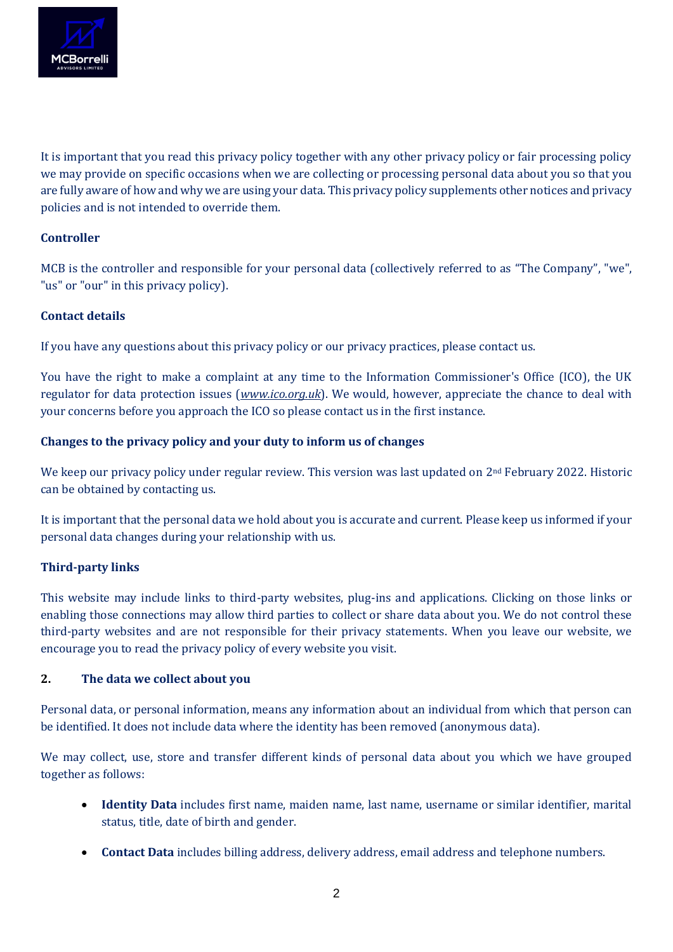

It is important that you read this privacy policy together with any other privacy policy or fair processing policy we may provide on specific occasions when we are collecting or processing personal data about you so that you are fully aware of how and why we are using your data. This privacy policy supplements other notices and privacy policies and is not intended to override them.

## **Controller**

MCB is the controller and responsible for your personal data (collectively referred to as "The Company", "we", "us" or "our" in this privacy policy).

## **Contact details**

If you have any questions about this privacy policy or our privacy practices, please contact us.

You have the right to make a complaint at any time to the Information Commissioner's Office (ICO), the UK regulator for data protection issues (*www.ico.org.uk*). We would, however, appreciate the chance to deal with your concerns before you approach the ICO so please contact us in the first instance.

## **Changes to the privacy policy and your duty to inform us of changes**

We keep our privacy policy under regular review. This version was last updated on 2nd February 2022. Historic can be obtained by contacting us.

It is important that the personal data we hold about you is accurate and current. Please keep us informed if your personal data changes during your relationship with us.

## **Third-party links**

This website may include links to third-party websites, plug-ins and applications. Clicking on those links or enabling those connections may allow third parties to collect or share data about you. We do not control these third-party websites and are not responsible for their privacy statements. When you leave our website, we encourage you to read the privacy policy of every website you visit.

## **2. The data we collect about you**

Personal data, or personal information, means any information about an individual from which that person can be identified. It does not include data where the identity has been removed (anonymous data).

We may collect, use, store and transfer different kinds of personal data about you which we have grouped together as follows:

- **Identity Data** includes first name, maiden name, last name, username or similar identifier, marital status, title, date of birth and gender.
- **Contact Data** includes billing address, delivery address, email address and telephone numbers.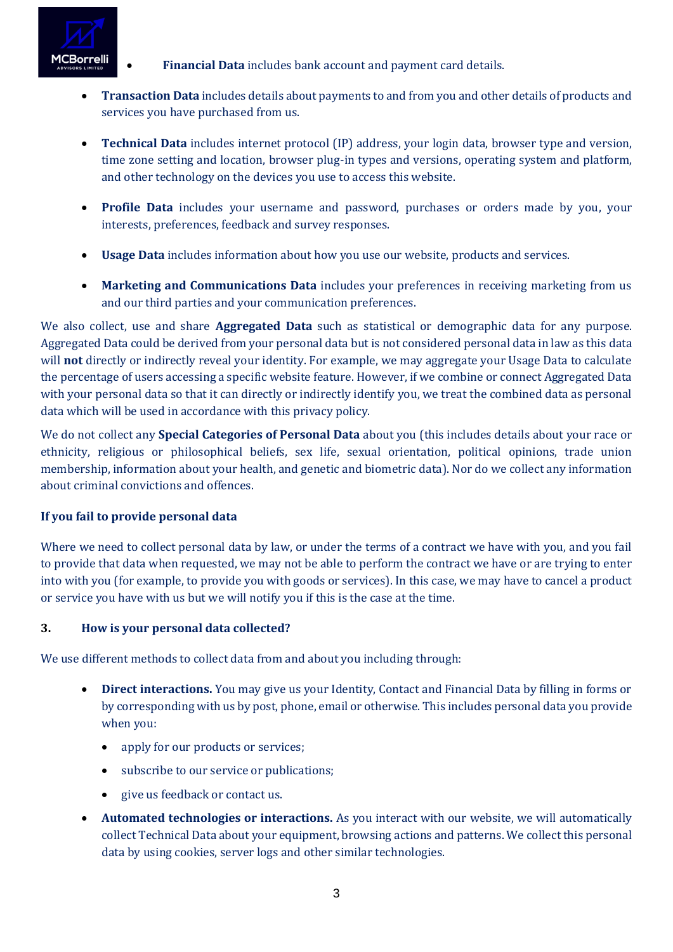

- **Financial Data** includes bank account and payment card details.
- **Transaction Data** includes details about payments to and from you and other details of products and services you have purchased from us.
- **Technical Data** includes internet protocol (IP) address, your login data, browser type and version, time zone setting and location, browser plug-in types and versions, operating system and platform, and other technology on the devices you use to access this website.
- **Profile Data** includes your username and password, purchases or orders made by you, your interests, preferences, feedback and survey responses.
- **Usage Data** includes information about how you use our website, products and services.
- **Marketing and Communications Data** includes your preferences in receiving marketing from us and our third parties and your communication preferences.

We also collect, use and share **Aggregated Data** such as statistical or demographic data for any purpose. Aggregated Data could be derived from your personal data but is not considered personal data in law as this data will **not** directly or indirectly reveal your identity. For example, we may aggregate your Usage Data to calculate the percentage of users accessing a specific website feature. However, if we combine or connect Aggregated Data with your personal data so that it can directly or indirectly identify you, we treat the combined data as personal data which will be used in accordance with this privacy policy.

We do not collect any **Special Categories of Personal Data** about you (this includes details about your race or ethnicity, religious or philosophical beliefs, sex life, sexual orientation, political opinions, trade union membership, information about your health, and genetic and biometric data). Nor do we collect any information about criminal convictions and offences.

# **If you fail to provide personal data**

Where we need to collect personal data by law, or under the terms of a contract we have with you, and you fail to provide that data when requested, we may not be able to perform the contract we have or are trying to enter into with you (for example, to provide you with goods or services). In this case, we may have to cancel a product or service you have with us but we will notify you if this is the case at the time.

# **3. How is your personal data collected?**

We use different methods to collect data from and about you including through:

- **Direct interactions.** You may give us your Identity, Contact and Financial Data by filling in forms or by corresponding with us by post, phone, email or otherwise. This includes personal data you provide when you:
	- apply for our products or services;
	- subscribe to our service or publications;
	- give us feedback or contact us.
- **Automated technologies or interactions.** As you interact with our website, we will automatically collect Technical Data about your equipment, browsing actions and patterns. We collect this personal data by using cookies, server logs and other similar technologies.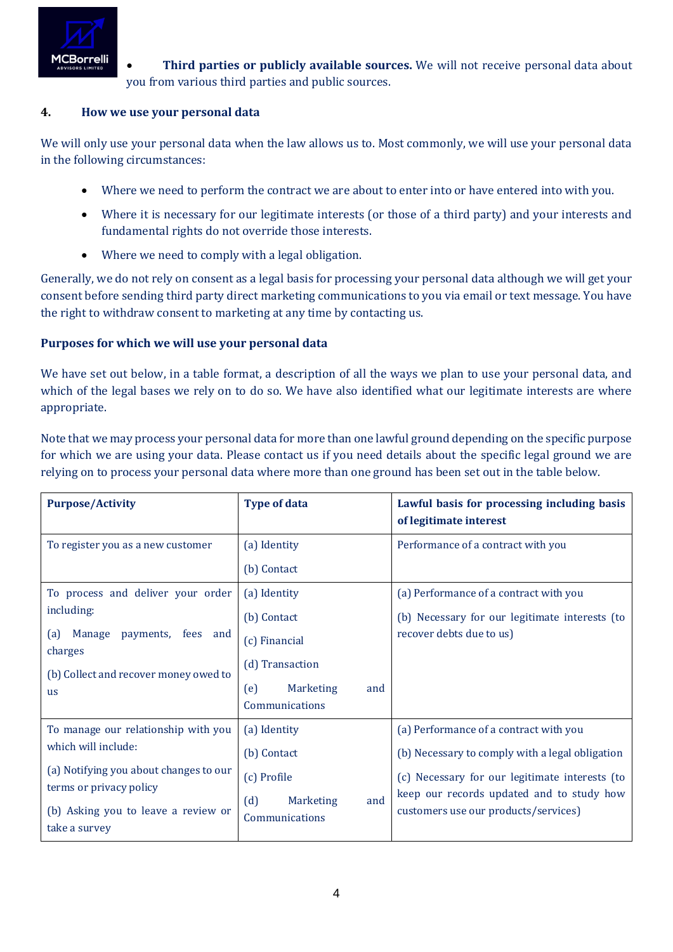

• **Third parties or publicly available sources.** We will not receive personal data about you from various third parties and public sources.

## **4. How we use your personal data**

We will only use your personal data when the law allows us to. Most commonly, we will use your personal data in the following circumstances:

- Where we need to perform the contract we are about to enter into or have entered into with you.
- Where it is necessary for our legitimate interests (or those of a third party) and your interests and fundamental rights do not override those interests.
- Where we need to comply with a legal obligation.

Generally, we do not rely on consent as a legal basis for processing your personal data although we will get your consent before sending third party direct marketing communications to you via email or text message. You have the right to withdraw consent to marketing at any time by contacting us.

## **Purposes for which we will use your personal data**

We have set out below, in a table format, a description of all the ways we plan to use your personal data, and which of the legal bases we rely on to do so. We have also identified what our legitimate interests are where appropriate.

Note that we may process your personal data for more than one lawful ground depending on the specific purpose for which we are using your data. Please contact us if you need details about the specific legal ground we are relying on to process your personal data where more than one ground has been set out in the table below.

| <b>Purpose/Activity</b>                                                                                                                                                                 | <b>Type of data</b>                                                                                          | Lawful basis for processing including basis<br>of legitimate interest                                                                                                                                                            |
|-----------------------------------------------------------------------------------------------------------------------------------------------------------------------------------------|--------------------------------------------------------------------------------------------------------------|----------------------------------------------------------------------------------------------------------------------------------------------------------------------------------------------------------------------------------|
| To register you as a new customer                                                                                                                                                       | (a) Identity<br>(b) Contact                                                                                  | Performance of a contract with you                                                                                                                                                                                               |
| To process and deliver your order<br>including:<br>(a)<br>Manage<br>payments, fees and<br>charges<br>(b) Collect and recover money owed to<br><b>us</b>                                 | (a) Identity<br>(b) Contact<br>(c) Financial<br>(d) Transaction<br>Marketing<br>(e)<br>and<br>Communications | (a) Performance of a contract with you<br>(b) Necessary for our legitimate interests (to<br>recover debts due to us)                                                                                                             |
| To manage our relationship with you<br>which will include:<br>(a) Notifying you about changes to our<br>terms or privacy policy<br>(b) Asking you to leave a review or<br>take a survey | (a) Identity<br>(b) Contact<br>(c) Profile<br>Marketing<br>(d)<br>and<br>Communications                      | (a) Performance of a contract with you<br>(b) Necessary to comply with a legal obligation<br>(c) Necessary for our legitimate interests (to<br>keep our records updated and to study how<br>customers use our products/services) |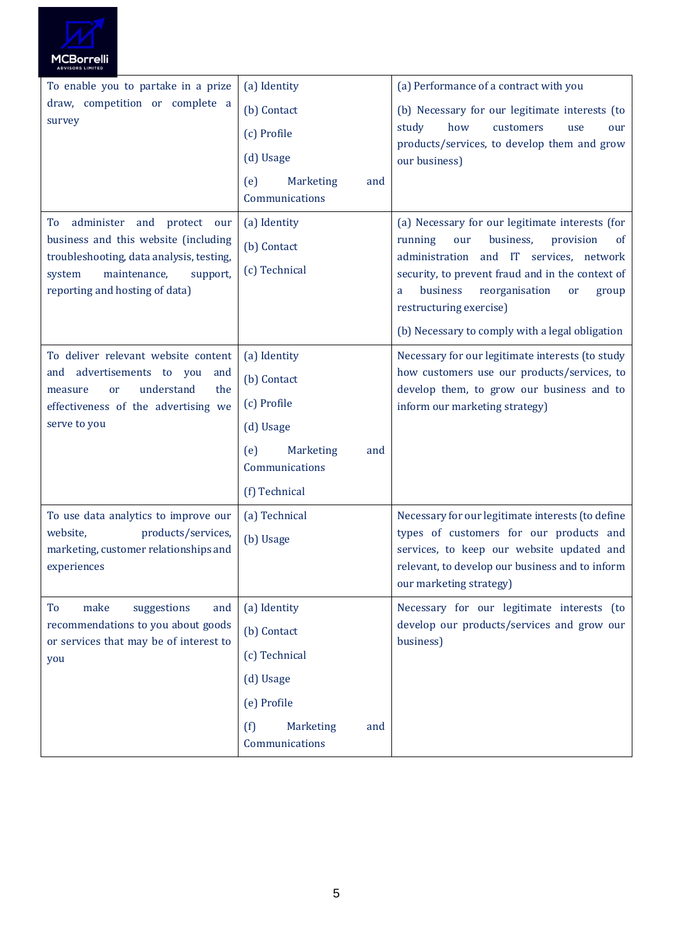

| To enable you to partake in a prize<br>draw, competition or complete a<br>survey<br>To administer and protect our<br>business and this website (including            | (a) Identity<br>(b) Contact<br>(c) Profile<br>(d) Usage<br>(e)<br><b>Marketing</b><br>and<br>Communications<br>(a) Identity<br>(b) Contact | (a) Performance of a contract with you<br>(b) Necessary for our legitimate interests (to<br>how<br>study<br>customers<br>use<br>our<br>products/services, to develop them and grow<br>our business)<br>(a) Necessary for our legitimate interests (for<br>business,<br>provision<br>running<br>our<br><sub>of</sub> |
|----------------------------------------------------------------------------------------------------------------------------------------------------------------------|--------------------------------------------------------------------------------------------------------------------------------------------|---------------------------------------------------------------------------------------------------------------------------------------------------------------------------------------------------------------------------------------------------------------------------------------------------------------------|
| troubleshooting, data analysis, testing,<br>maintenance,<br>system<br>support,<br>reporting and hosting of data)                                                     | (c) Technical                                                                                                                              | administration and IT services, network<br>security, to prevent fraud and in the context of<br>business<br>reorganisation<br>or<br>a<br>group<br>restructuring exercise)<br>(b) Necessary to comply with a legal obligation                                                                                         |
| To deliver relevant website content<br>and advertisements to you<br>and<br>understand<br>the<br>measure<br>or<br>effectiveness of the advertising we<br>serve to you | (a) Identity<br>(b) Contact<br>(c) Profile<br>(d) Usage<br>Marketing<br>(e)<br>and<br>Communications<br>(f) Technical                      | Necessary for our legitimate interests (to study<br>how customers use our products/services, to<br>develop them, to grow our business and to<br>inform our marketing strategy)                                                                                                                                      |
| To use data analytics to improve our<br>products/services,<br>website,<br>marketing, customer relationships and<br>experiences                                       | (a) Technical<br>(b) Usage                                                                                                                 | Necessary for our legitimate interests (to define<br>types of customers for our products and<br>services, to keep our website updated and<br>relevant, to develop our business and to inform<br>our marketing strategy)                                                                                             |
| make<br>To<br>suggestions<br>and<br>recommendations to you about goods<br>or services that may be of interest to<br>you                                              | (a) Identity<br>(b) Contact<br>(c) Technical<br>(d) Usage<br>(e) Profile<br>(f)<br>Marketing<br>and<br>Communications                      | Necessary for our legitimate interests (to<br>develop our products/services and grow our<br>business)                                                                                                                                                                                                               |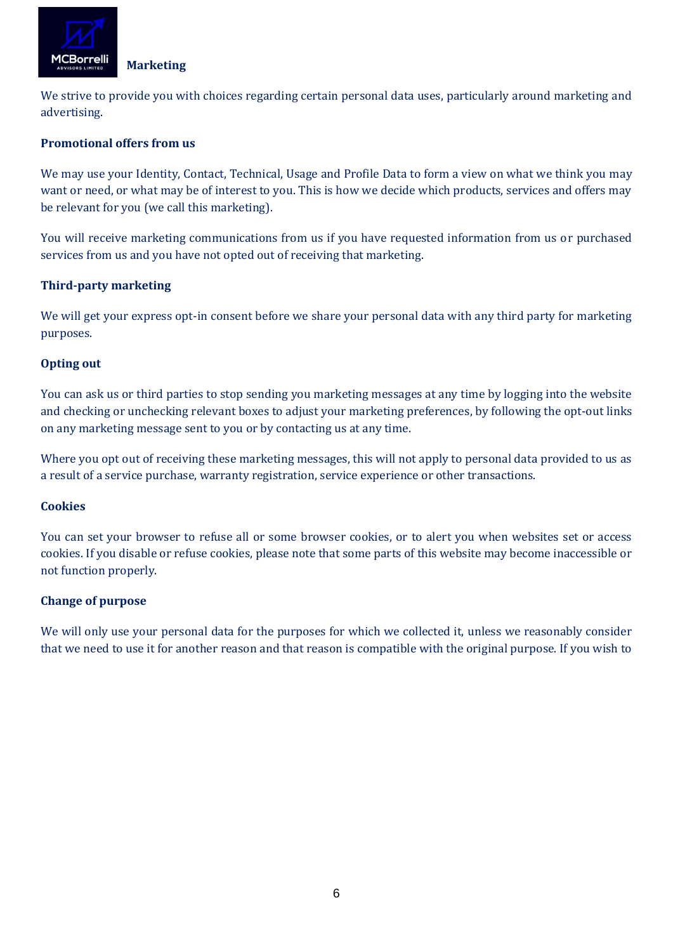

#### **Marketing**

We strive to provide you with choices regarding certain personal data uses, particularly around marketing and advertising.

## **Promotional offers from us**

We may use your Identity, Contact, Technical, Usage and Profile Data to form a view on what we think you may want or need, or what may be of interest to you. This is how we decide which products, services and offers may be relevant for you (we call this marketing).

You will receive marketing communications from us if you have requested information from us or purchased services from us and you have not opted out of receiving that marketing.

#### **Third-party marketing**

We will get your express opt-in consent before we share your personal data with any third party for marketing purposes.

#### **Opting out**

You can ask us or third parties to stop sending you marketing messages at any time by logging into the website and checking or unchecking relevant boxes to adjust your marketing preferences, by following the opt-out links on any marketing message sent to you or by contacting us at any time.

Where you opt out of receiving these marketing messages, this will not apply to personal data provided to us as a result of a service purchase, warranty registration, service experience or other transactions.

#### **Cookies**

You can set your browser to refuse all or some browser cookies, or to alert you when websites set or access cookies. If you disable or refuse cookies, please note that some parts of this website may become inaccessible or not function properly.

#### **Change of purpose**

We will only use your personal data for the purposes for which we collected it, unless we reasonably consider that we need to use it for another reason and that reason is compatible with the original purpose. If you wish to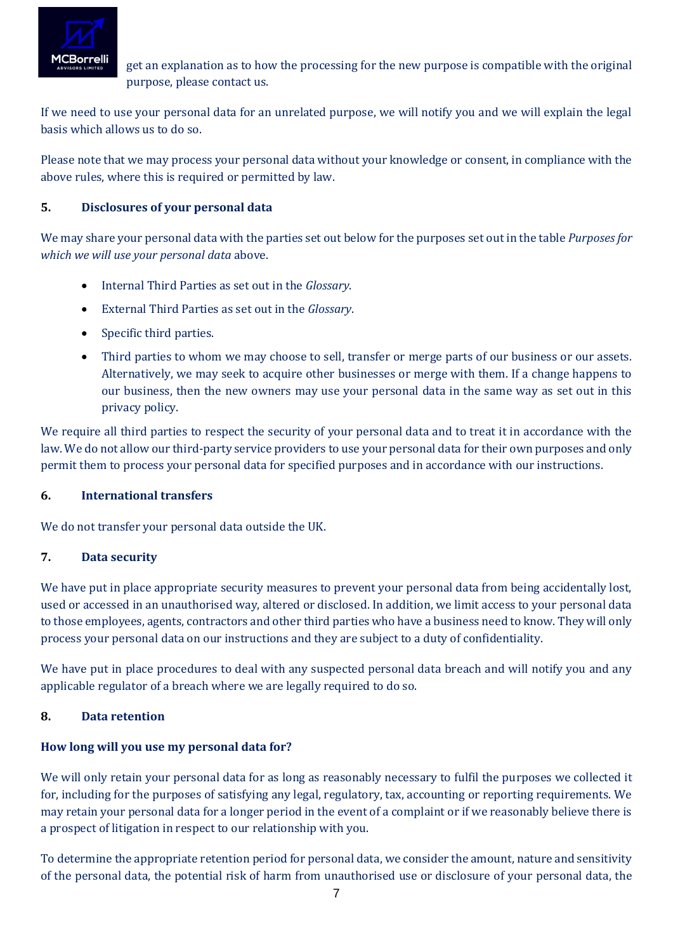

get an explanation as to how the processing for the new purpose is compatible with the original purpose, please contact us.

If we need to use your personal data for an unrelated purpose, we will notify you and we will explain the legal basis which allows us to do so.

Please note that we may process your personal data without your knowledge or consent, in compliance with the above rules, where this is required or permitted by law.

# **5. Disclosures of your personal data**

We may share your personal data with the parties set out below for the purposes set out in the table *Purposes for which we will use your personal data* above.

- Internal Third Parties as set out in the *Glossary*.
- External Third Parties as set out in the *Glossary*.
- Specific third parties.
- Third parties to whom we may choose to sell, transfer or merge parts of our business or our assets. Alternatively, we may seek to acquire other businesses or merge with them. If a change happens to our business, then the new owners may use your personal data in the same way as set out in this privacy policy.

We require all third parties to respect the security of your personal data and to treat it in accordance with the law. We do not allow our third-party service providers to use your personal data for their own purposes and only permit them to process your personal data for specified purposes and in accordance with our instructions.

## **6. International transfers**

We do not transfer your personal data outside the UK.

## **7. Data security**

We have put in place appropriate security measures to prevent your personal data from being accidentally lost, used or accessed in an unauthorised way, altered or disclosed. In addition, we limit access to your personal data to those employees, agents, contractors and other third parties who have a business need to know. They will only process your personal data on our instructions and they are subject to a duty of confidentiality.

We have put in place procedures to deal with any suspected personal data breach and will notify you and any applicable regulator of a breach where we are legally required to do so.

## **8. Data retention**

## **How long will you use my personal data for?**

We will only retain your personal data for as long as reasonably necessary to fulfil the purposes we collected it for, including for the purposes of satisfying any legal, regulatory, tax, accounting or reporting requirements. We may retain your personal data for a longer period in the event of a complaint or if we reasonably believe there is a prospect of litigation in respect to our relationship with you.

To determine the appropriate retention period for personal data, we consider the amount, nature and sensitivity of the personal data, the potential risk of harm from unauthorised use or disclosure of your personal data, the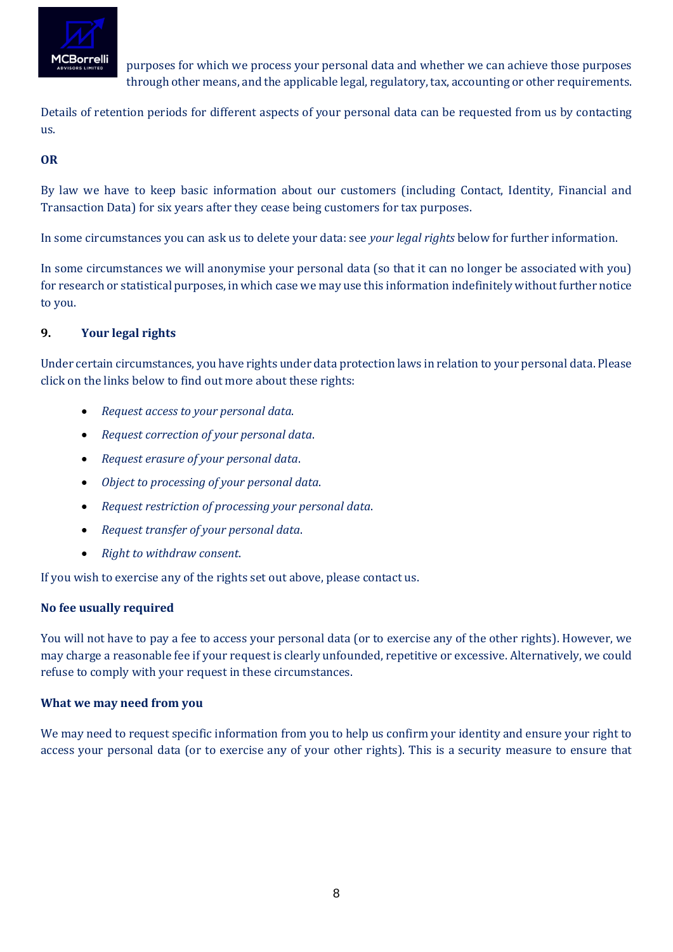

purposes for which we process your personal data and whether we can achieve those purposes through other means, and the applicable legal, regulatory, tax, accounting or other requirements.

Details of retention periods for different aspects of your personal data can be requested from us by contacting us.

## **OR**

By law we have to keep basic information about our customers (including Contact, Identity, Financial and Transaction Data) for six years after they cease being customers for tax purposes.

In some circumstances you can ask us to delete your data: see *your legal rights* below for further information.

In some circumstances we will anonymise your personal data (so that it can no longer be associated with you) for research or statistical purposes, in which case we may use this information indefinitely without further notice to you.

## **9. Your legal rights**

Under certain circumstances, you have rights under data protection laws in relation to your personal data. Please click on the links below to find out more about these rights:

- *Request access to your personal data*.
- *Request correction of your personal data*.
- *Request erasure of your personal data*.
- *Object to processing of your personal data*.
- *Request restriction of processing your personal data*.
- *Request transfer of your personal data*.
- *Right to withdraw consent*.

If you wish to exercise any of the rights set out above, please contact us.

## **No fee usually required**

You will not have to pay a fee to access your personal data (or to exercise any of the other rights). However, we may charge a reasonable fee if your request is clearly unfounded, repetitive or excessive. Alternatively, we could refuse to comply with your request in these circumstances.

#### **What we may need from you**

We may need to request specific information from you to help us confirm your identity and ensure your right to access your personal data (or to exercise any of your other rights). This is a security measure to ensure that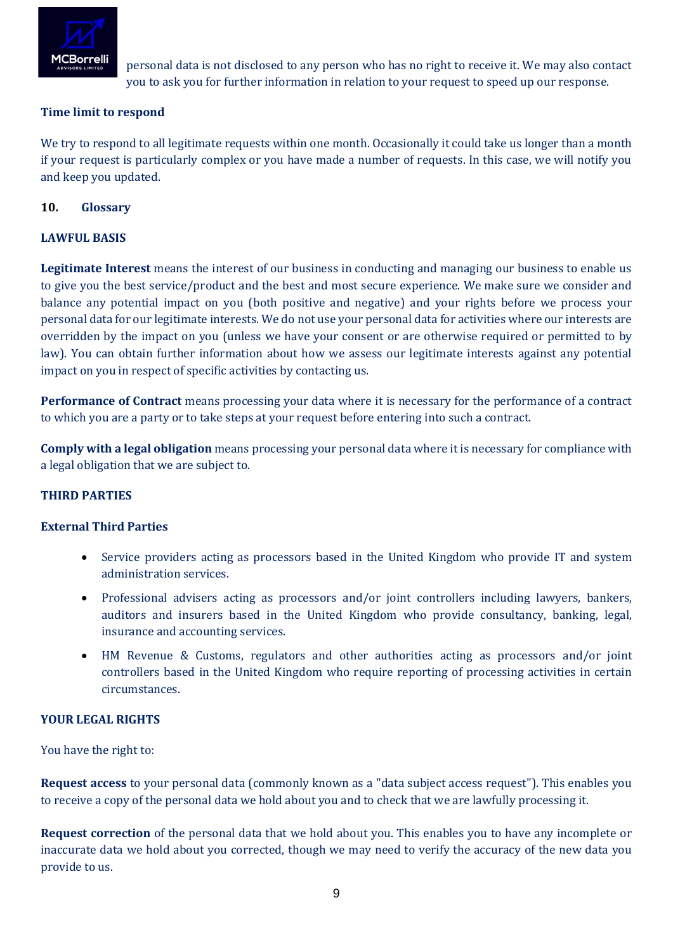

personal data is not disclosed to any person who has no right to receive it. We may also contact you to ask you for further information in relation to your request to speed up our response.

## **Time limit to respond**

We try to respond to all legitimate requests within one month. Occasionally it could take us longer than a month if your request is particularly complex or you have made a number of requests. In this case, we will notify you and keep you updated.

## **10. Glossary**

#### **LAWFUL BASIS**

**Legitimate Interest** means the interest of our business in conducting and managing our business to enable us to give you the best service/product and the best and most secure experience. We make sure we consider and balance any potential impact on you (both positive and negative) and your rights before we process your personal data for our legitimate interests. We do not use your personal data for activities where our interests are overridden by the impact on you (unless we have your consent or are otherwise required or permitted to by law). You can obtain further information about how we assess our legitimate interests against any potential impact on you in respect of specific activities by contacting us.

**Performance of Contract** means processing your data where it is necessary for the performance of a contract to which you are a party or to take steps at your request before entering into such a contract.

**Comply with a legal obligation** means processing your personal data where it is necessary for compliance with a legal obligation that we are subject to.

#### **THIRD PARTIES**

#### **External Third Parties**

- Service providers acting as processors based in the United Kingdom who provide IT and system administration services.
- Professional advisers acting as processors and/or joint controllers including lawyers, bankers, auditors and insurers based in the United Kingdom who provide consultancy, banking, legal, insurance and accounting services.
- HM Revenue & Customs, regulators and other authorities acting as processors and/or joint controllers based in the United Kingdom who require reporting of processing activities in certain circumstances.

#### **YOUR LEGAL RIGHTS**

You have the right to:

**Request access** to your personal data (commonly known as a "data subject access request"). This enables you to receive a copy of the personal data we hold about you and to check that we are lawfully processing it.

**Request correction** of the personal data that we hold about you. This enables you to have any incomplete or inaccurate data we hold about you corrected, though we may need to verify the accuracy of the new data you provide to us.